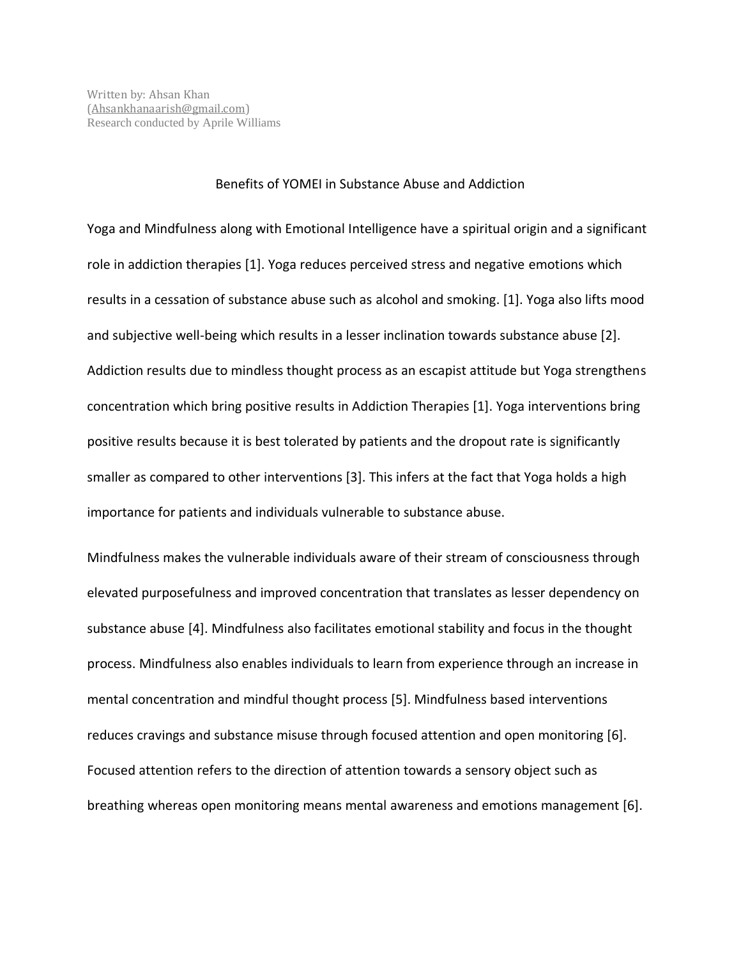## Benefits of YOMEI in Substance Abuse and Addiction

Yoga and Mindfulness along with Emotional Intelligence have a spiritual origin and a significant role in addiction therapies [1]. Yoga reduces perceived stress and negative emotions which results in a cessation of substance abuse such as alcohol and smoking. [1]. Yoga also lifts mood and subjective well-being which results in a lesser inclination towards substance abuse [2]. Addiction results due to mindless thought process as an escapist attitude but Yoga strengthens concentration which bring positive results in Addiction Therapies [1]. Yoga interventions bring positive results because it is best tolerated by patients and the dropout rate is significantly smaller as compared to other interventions [3]. This infers at the fact that Yoga holds a high importance for patients and individuals vulnerable to substance abuse.

Mindfulness makes the vulnerable individuals aware of their stream of consciousness through elevated purposefulness and improved concentration that translates as lesser dependency on substance abuse [4]. Mindfulness also facilitates emotional stability and focus in the thought process. Mindfulness also enables individuals to learn from experience through an increase in mental concentration and mindful thought process [5]. Mindfulness based interventions reduces cravings and substance misuse through focused attention and open monitoring [6]. Focused attention refers to the direction of attention towards a sensory object such as breathing whereas open monitoring means mental awareness and emotions management [6].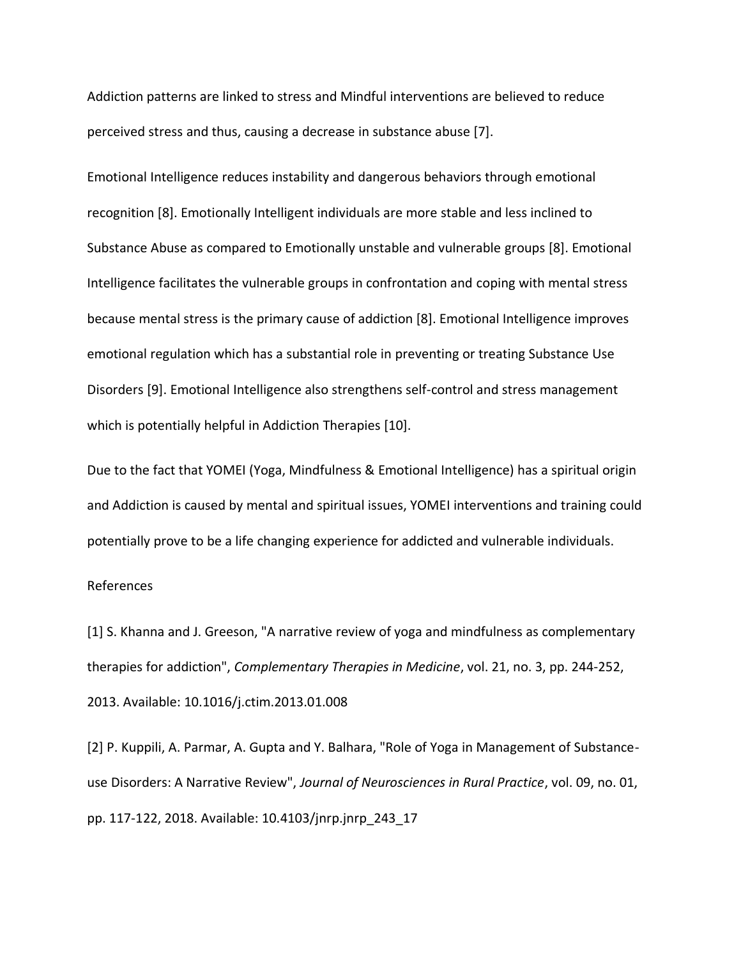Addiction patterns are linked to stress and Mindful interventions are believed to reduce perceived stress and thus, causing a decrease in substance abuse [7].

Emotional Intelligence reduces instability and dangerous behaviors through emotional recognition [8]. Emotionally Intelligent individuals are more stable and less inclined to Substance Abuse as compared to Emotionally unstable and vulnerable groups [8]. Emotional Intelligence facilitates the vulnerable groups in confrontation and coping with mental stress because mental stress is the primary cause of addiction [8]. Emotional Intelligence improves emotional regulation which has a substantial role in preventing or treating Substance Use Disorders [9]. Emotional Intelligence also strengthens self-control and stress management which is potentially helpful in Addiction Therapies [10].

Due to the fact that YOMEI (Yoga, Mindfulness & Emotional Intelligence) has a spiritual origin and Addiction is caused by mental and spiritual issues, YOMEI interventions and training could potentially prove to be a life changing experience for addicted and vulnerable individuals.

## References

[1] S. Khanna and J. Greeson, "A narrative review of yoga and mindfulness as complementary therapies for addiction", *Complementary Therapies in Medicine*, vol. 21, no. 3, pp. 244-252, 2013. Available: 10.1016/j.ctim.2013.01.008

[2] P. Kuppili, A. Parmar, A. Gupta and Y. Balhara, "Role of Yoga in Management of Substanceuse Disorders: A Narrative Review", *Journal of Neurosciences in Rural Practice*, vol. 09, no. 01, pp. 117-122, 2018. Available: 10.4103/jnrp.jnrp\_243\_17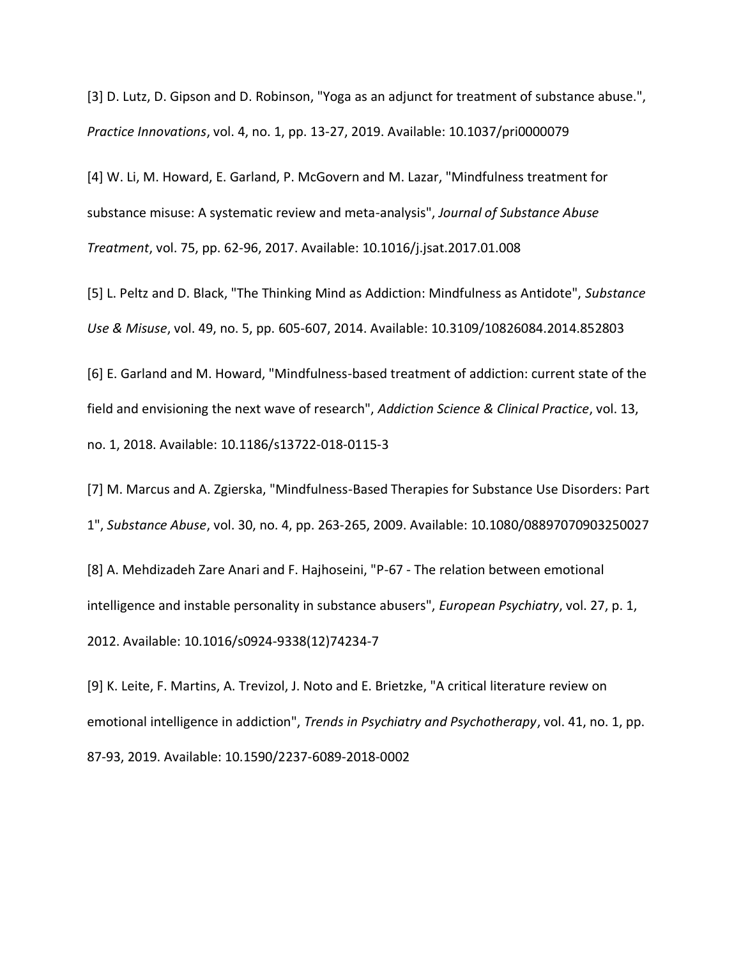[3] D. Lutz, D. Gipson and D. Robinson, "Yoga as an adjunct for treatment of substance abuse.", *Practice Innovations*, vol. 4, no. 1, pp. 13-27, 2019. Available: 10.1037/pri0000079

[4] W. Li, M. Howard, E. Garland, P. McGovern and M. Lazar, "Mindfulness treatment for substance misuse: A systematic review and meta-analysis", *Journal of Substance Abuse Treatment*, vol. 75, pp. 62-96, 2017. Available: 10.1016/j.jsat.2017.01.008

[5] L. Peltz and D. Black, "The Thinking Mind as Addiction: Mindfulness as Antidote", *Substance Use & Misuse*, vol. 49, no. 5, pp. 605-607, 2014. Available: 10.3109/10826084.2014.852803

[6] E. Garland and M. Howard, "Mindfulness-based treatment of addiction: current state of the field and envisioning the next wave of research", *Addiction Science & Clinical Practice*, vol. 13, no. 1, 2018. Available: 10.1186/s13722-018-0115-3

[7] M. Marcus and A. Zgierska, "Mindfulness-Based Therapies for Substance Use Disorders: Part 1", *Substance Abuse*, vol. 30, no. 4, pp. 263-265, 2009. Available: 10.1080/08897070903250027

[8] A. Mehdizadeh Zare Anari and F. Hajhoseini, "P-67 - The relation between emotional intelligence and instable personality in substance abusers", *European Psychiatry*, vol. 27, p. 1, 2012. Available: 10.1016/s0924-9338(12)74234-7

[9] K. Leite, F. Martins, A. Trevizol, J. Noto and E. Brietzke, "A critical literature review on emotional intelligence in addiction", *Trends in Psychiatry and Psychotherapy*, vol. 41, no. 1, pp. 87-93, 2019. Available: 10.1590/2237-6089-2018-0002